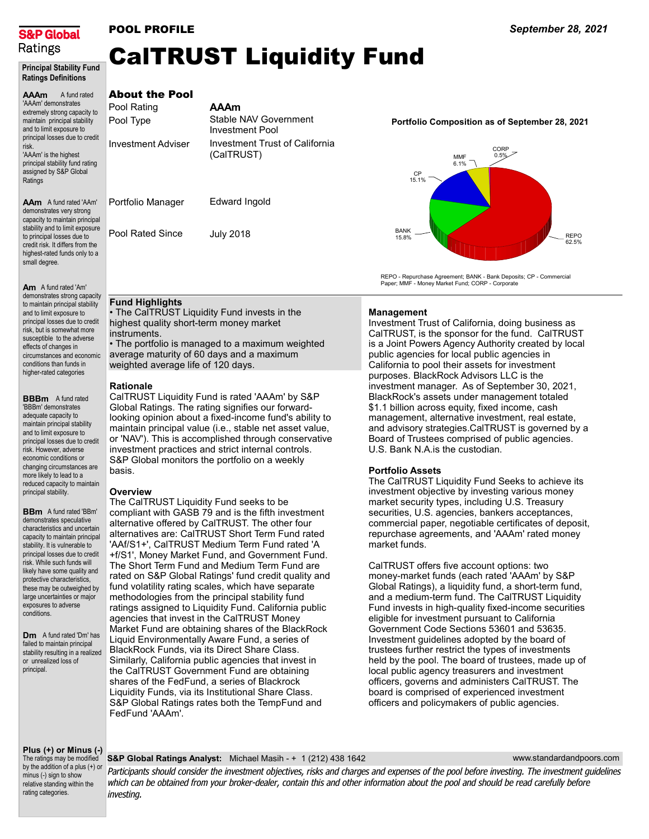

Principal Stability Fund

## POOL PROFILE

# CalTRUST Liquidity Fund

| <b>Ratings Definitions</b>                                                                                                                          |                                                   |                                                         |                                                                                                                        |
|-----------------------------------------------------------------------------------------------------------------------------------------------------|---------------------------------------------------|---------------------------------------------------------|------------------------------------------------------------------------------------------------------------------------|
| A fund rated<br><b>AAAm</b><br>'AAAm' demonstrates<br>extremely strong capacity to<br>maintain principal stability<br>and to limit exposure to      | <b>About the Pool</b><br>Pool Rating<br>Pool Type | <b>AAAm</b><br>Stable NAV Government<br>Investment Pool | Portfolio Composition as of September 28, 2021                                                                         |
| principal losses due to credit<br>risk.<br>'AAAm' is the highest<br>principal stability fund rating<br>assigned by S&P Global<br>Ratings            | <b>Investment Adviser</b>                         | Investment Trust of California<br>(CalTRUST)            | CORP<br>0.5%<br>MMF<br>6.1%<br>CP<br>15.1%                                                                             |
| <b>AAm</b> A fund rated 'AAm'<br>demonstrates very strong<br>capacity to maintain principal                                                         | Portfolio Manager                                 | Edward Ingold                                           |                                                                                                                        |
| stability and to limit exposure<br>to principal losses due to<br>credit risk. It differs from the<br>highest-rated funds only to a<br>small degree. | Pool Rated Since                                  | <b>July 2018</b>                                        | <b>BANK</b><br><b>REPO</b><br>15.8%<br>62.5%                                                                           |
| <b>A</b> A C I I IIA I                                                                                                                              |                                                   |                                                         | REPO - Repurchase Agreement; BANK - Bank Deposits; CP - Commercial<br>Paper; MMF - Money Market Fund; CORP - Corporate |

Am A fund rated 'Am' demonstrates strong capacity to maintain principal stability and to limit exposure to principal losses due to credit risk, but is somewhat more susceptible to the adverse effects of changes in circumstances and economic conditions than funds in higher-rated categories

**BBBm** A fund rated 'BBBm' demonstrates adequate capacity to maintain principal stability and to limit exposure to principal losses due to credit risk. However, adverse economic conditions or changing circumstances are more likely to lead to a reduced capacity to maintain principal stability.

**BBm** A fund rated 'BBm' demonstrates speculative characteristics and uncertain capacity to maintain principal stability. It is vulnerable to principal losses due to credit risk. While such funds will likely have some quality and protective characteristics, these may be outweighed by large uncertainties or major exposures to adverse conditions.

**Dm** A fund rated 'Dm' has failed to maintain principal stability resulting in a realized or unrealized loss of principal.

## Fund Highlights

• The CalTRUST Liquidity Fund invests in the highest quality short-term money market instruments. • The portfolio is managed to a maximum weighted

average maturity of 60 days and a maximum weighted average life of 120 days.

#### Rationale

CalTRUST Liquidity Fund is rated 'AAAm' by S&P Global Ratings. The rating signifies our forwardlooking opinion about a fixed-income fund's ability to maintain principal value (i.e., stable net asset value, or 'NAV'). This is accomplished through conservative investment practices and strict internal controls. S&P Global monitors the portfolio on a weekly basis.

### Overview

The CalTRUST Liquidity Fund seeks to be compliant with GASB 79 and is the fifth investment alternative offered by CalTRUST. The other four alternatives are: CalTRUST Short Term Fund rated 'AAf/S1+', CalTRUST Medium Term Fund rated 'A +f/S1', Money Market Fund, and Government Fund. The Short Term Fund and Medium Term Fund are rated on S&P Global Ratings' fund credit quality and fund volatility rating scales, which have separate methodologies from the principal stability fund ratings assigned to Liquidity Fund. California public agencies that invest in the CalTRUST Money Market Fund are obtaining shares of the BlackRock Liquid Environmentally Aware Fund, a series of BlackRock Funds, via its Direct Share Class. Similarly, California public agencies that invest in the CalTRUST Government Fund are obtaining shares of the FedFund, a series of Blackrock Liquidity Funds, via its Institutional Share Class. S&P Global Ratings rates both the TempFund and FedFund 'AAAm'.

### Management

Investment Trust of California, doing business as CalTRUST, is the sponsor for the fund. CalTRUST is a Joint Powers Agency Authority created by local public agencies for local public agencies in California to pool their assets for investment purposes. BlackRock Advisors LLC is the investment manager. As of September 30, 2021, BlackRock's assets under management totaled \$1.1 billion across equity, fixed income, cash management, alternative investment, real estate, and advisory strategies.CalTRUST is governed by a Board of Trustees comprised of public agencies. U.S. Bank N.A.is the custodian.

### Portfolio Assets

The CalTRUST Liquidity Fund Seeks to achieve its investment objective by investing various money market security types, including U.S. Treasury securities, U.S. agencies, bankers acceptances, commercial paper, negotiable certificates of deposit, repurchase agreements, and 'AAAm' rated money market funds.

CalTRUST offers five account options: two money-market funds (each rated 'AAAm' by S&P Global Ratings), a liquidity fund, a short-term fund, and a medium-term fund. The CalTRUST Liquidity Fund invests in high-quality fixed-income securities eligible for investment pursuant to California Government Code Sections 53601 and 53635. Investment guidelines adopted by the board of trustees further restrict the types of investments held by the pool. The board of trustees, made up of local public agency treasurers and investment officers, governs and administers CalTRUST. The board is comprised of experienced investment officers and policymakers of public agencies.

Plus (+) or Minus (-)

The ratings may be modified by the addition of a plus (+) or minus (-) sign to show relative standing within the rating categories.

### S&P Global Ratings Analyst: Michael Masih - + 1 (212) 438 1642

Participants should consider the investment objectives, risks and charges and expenses of the pool before investing. The investment guidelines which can be obtained from your broker-dealer, contain this and other information about the pool and should be read carefully before investing.

#### www.standardandpoors.com